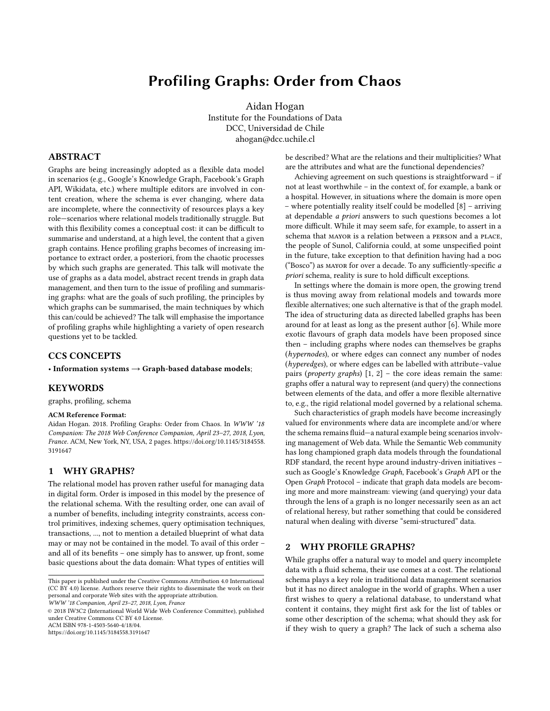# Profiling Graphs: Order from Chaos

Aidan Hogan Institute for the Foundations of Data DCC, Universidad de Chile ahogan@dcc.uchile.cl

## <span id="page-0-0"></span>ABSTRACT

Graphs are being increasingly adopted as a flexible data model in scenarios (e.g., Google's Knowledge Graph, Facebook's Graph API, Wikidata, etc.) where multiple editors are involved in content creation, where the schema is ever changing, where data are incomplete, where the connectivity of resources plays a key role—scenarios where relational models traditionally struggle. But with this flexibility comes a conceptual cost: it can be difficult to summarise and understand, at a high level, the content that a given graph contains. Hence profiling graphs becomes of increasing importance to extract order, a posteriori, from the chaotic processes by which such graphs are generated. This talk will motivate the use of graphs as a data model, abstract recent trends in graph data management, and then turn to the issue of profiling and summarising graphs: what are the goals of such profiling, the principles by which graphs can be summarised, the main techniques by which this can/could be achieved? The talk will emphasise the importance of profiling graphs while highlighting a variety of open research questions yet to be tackled.

# CCS CONCEPTS

• Information systems  $\rightarrow$  Graph-based database models;

## **KEYWORDS**

graphs, profiling, schema

#### ACM Reference Format:

Aidan Hogan. 2018. Profiling Graphs: Order from Chaos. In WWW '18 Companion: The 2018 Web Conference Companion, April 23–27, 2018, Lyon, France. ACM, New York, NY, USA, [2](#page-0-0) pages. [https://doi.org/10.1145/3184558.](https://doi.org/10.1145/3184558.3191647) [3191647](https://doi.org/10.1145/3184558.3191647)

## 1 WHY GRAPHS?

The relational model has proven rather useful for managing data in digital form. Order is imposed in this model by the presence of the relational schema. With the resulting order, one can avail of a number of benefits, including integrity constraints, access control primitives, indexing schemes, query optimisation techniques, transactions, ..., not to mention a detailed blueprint of what data may or may not be contained in the model. To avail of this order – and all of its benefits – one simply has to answer, up front, some basic questions about the data domain: What types of entities will

© 2018 IW3C2 (International World Wide Web Conference Committee), published under Creative Commons CC BY 4.0 License.

ACM ISBN 978-1-4503-5640-4/18/04.

<https://doi.org/10.1145/3184558.3191647>

be described? What are the relations and their multiplicities? What are the attributes and what are the functional dependencies?

Achieving agreement on such questions is straightforward – if not at least worthwhile – in the context of, for example, a bank or a hospital. However, in situations where the domain is more open – where potentially reality itself could be modelled [\[8\]](#page-1-0) – arriving at dependable a priori answers to such questions becomes a lot more difficult. While it may seem safe, for example, to assert in a schema that MAYOR is a relation between a PERSON and a PLACE, the people of Sunol, California could, at some unspecified point in the future, take exception to that definition having had a DOG ("Bosco") as mayor for over a decade. To any sufficiently-specific a priori schema, reality is sure to hold difficult exceptions.

In settings where the domain is more open, the growing trend is thus moving away from relational models and towards more flexible alternatives; one such alternative is that of the graph model. The idea of structuring data as directed labelled graphs has been around for at least as long as the present author [\[6\]](#page-1-1). While more exotic flavours of graph data models have been proposed since then – including graphs where nodes can themselves be graphs (hypernodes), or where edges can connect any number of nodes (hyperedges), or where edges can be labelled with attribute–value pairs (*property graphs*)  $[1, 2]$  $[1, 2]$  $[1, 2]$  – the core ideas remain the same: graphs offer a natural way to represent (and query) the connections between elements of the data, and offer a more flexible alternative to, e.g., the rigid relational model governed by a relational schema.

Such characteristics of graph models have become increasingly valued for environments where data are incomplete and/or where the schema remains fluid—a natural example being scenarios involving management of Web data. While the Semantic Web community has long championed graph data models through the foundational RDF standard, the recent hype around industry-driven initiatives – such as Google's Knowledge Graph, Facebook's Graph API or the Open Graph Protocol – indicate that graph data models are becoming more and more mainstream: viewing (and querying) your data through the lens of a graph is no longer necessarily seen as an act of relational heresy, but rather something that could be considered natural when dealing with diverse "semi-structured" data.

# 2 WHY PROFILE GRAPHS?

While graphs offer a natural way to model and query incomplete data with a fluid schema, their use comes at a cost. The relational schema plays a key role in traditional data management scenarios but it has no direct analogue in the world of graphs. When a user first wishes to query a relational database, to understand what content it contains, they might first ask for the list of tables or some other description of the schema; what should they ask for if they wish to query a graph? The lack of such a schema also

This paper is published under the Creative Commons Attribution 4.0 International (CC BY 4.0) license. Authors reserve their rights to disseminate the work on their personal and corporate Web sites with the appropriate attribution.

WWW '18 Companion, April 23–27, 2018, Lyon, France